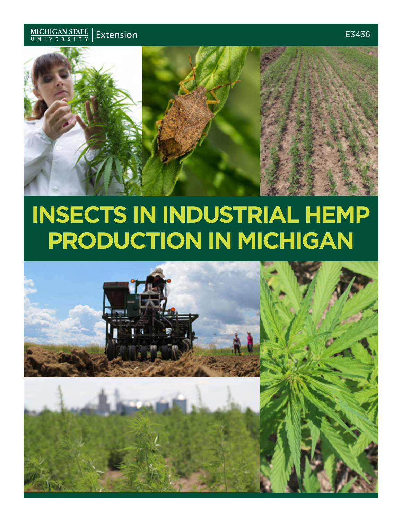



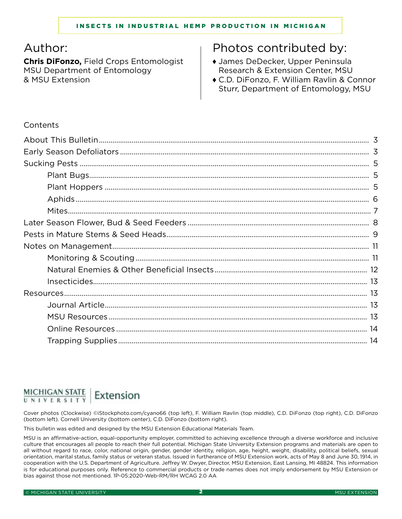# Author:

**Chris DiFonzo,** Field Crops Entomologist MSU Department of Entomology & MSU Extension

# Photos contributed by:

- ♦ James DeDecker, Upper Peninsula Research & Extension Center, MSU
- ♦ C.D. DiFonzo, F. William Ravlin & Connor Sturr, Department of Entomology, MSU

## **Contents**

#### MICHIGAN STATE Extension UNIVERSITY

Cover photos (Clockwise) ©iStockphoto.com/cyano66 (top left), F. William Ravlin (top middle), C.D. DiFonzo (top right), C.D. DiFonzo (bottom left). Cornell University (bottom center), C.D. DiFonzo (bottom right).

This bulletin was edited and designed by the MSU Extension Educational Materials Team.

MSU is an affirmative-action, equal-opportunity employer, committed to achieving excellence through a diverse workforce and inclusive culture that encourages all people to reach their full potential. Michigan State University Extension programs and materials are open to all without regard to race, color, national origin, gender, gender identity, religion, age, height, weight, disability, political beliefs, sexual orientation, marital status, family status or veteran status. Issued in furtherance of MSU Extension work, acts of May 8 and June 30, 1914, in cooperation with the U.S. Department of Agriculture. Jeffrey W. Dwyer, Director, MSU Extension, East Lansing, MI 48824. This information is for educational purposes only. Reference to commercial products or trade names does not imply endorsement by MSU Extension or bias against those not mentioned. 1P-05:2020-Web-RM/RH WCAG 2.0 AA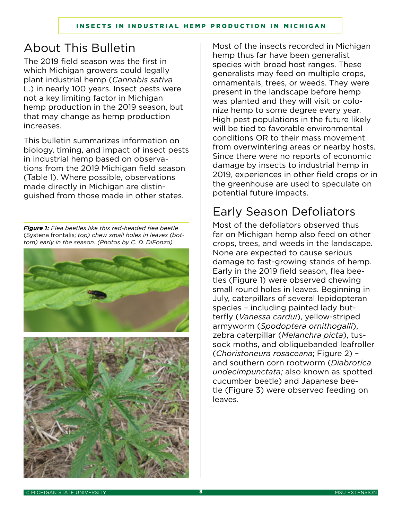# About This Bulletin

The 2019 field season was the first in which Michigan growers could legally plant industrial hemp (*Cannabis sativa* L.) in nearly 100 years. Insect pests were not a key limiting factor in Michigan hemp production in the 2019 season, but that may change as hemp production increases.

This bulletin summarizes information on biology, timing, and impact of insect pests in industrial hemp based on observations from the 2019 Michigan field season (Table 1). Where possible, observations made directly in Michigan are distinguished from those made in other states.

*Figure 1: Flea beetles like this red-headed flea beetle*  (Systena frontalis; *top) chew small holes in leaves (bottom) early in the season. (Photos by C. D. DiFonzo)*



Most of the insects recorded in Michigan hemp thus far have been generalist species with broad host ranges. These generalists may feed on multiple crops, ornamentals, trees, or weeds. They were present in the landscape before hemp was planted and they will visit or colonize hemp to some degree every year. High pest populations in the future likely will be tied to favorable environmental conditions OR to their mass movement from overwintering areas or nearby hosts. Since there were no reports of economic damage by insects to industrial hemp in 2019, experiences in other field crops or in the greenhouse are used to speculate on potential future impacts.

# Early Season Defoliators

Most of the defoliators observed thus far on Michigan hemp also feed on other crops, trees, and weeds in the landscape. None are expected to cause serious damage to fast-growing stands of hemp. Early in the 2019 field season, flea beetles (Figure 1) were observed chewing small round holes in leaves. Beginning in July, caterpillars of several lepidopteran species – including painted lady butterfly (*Vanessa cardui*), yellow-striped armyworm (*Spodoptera ornithogalli*), zebra caterpillar (*Melanchra picta*), tussock moths, and obliquebanded leafroller (*Choristoneura rosaceana*; Figure 2) – and southern corn rootworm (*Diabrotica undecimpunctata;* also known as spotted cucumber beetle) and Japanese beetle (Figure 3) were observed feeding on leaves.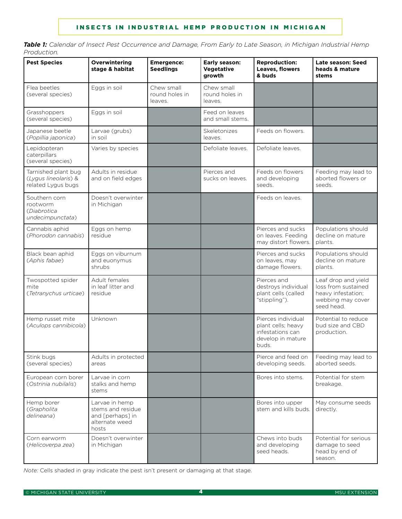*Table 1: Calendar of Insect Pest Occurrence and Damage, From Early to Late Season, in Michigan Industrial Hemp Production.*

| <b>Pest Species</b>                                               | Overwintering<br>stage & habitat                                                   | <b>Emergence:</b><br><b>Seedlings</b>   | Early season:<br><b>Vegetative</b><br>growth | <b>Reproduction:</b><br>Leaves, flowers<br>& buds                                          | Late season: Seed<br>heads & mature<br>stems                                                        |
|-------------------------------------------------------------------|------------------------------------------------------------------------------------|-----------------------------------------|----------------------------------------------|--------------------------------------------------------------------------------------------|-----------------------------------------------------------------------------------------------------|
| Flea beetles<br>(several species)                                 | Eggs in soil                                                                       | Chew small<br>round holes in<br>leaves. | Chew small<br>round holes in<br>leaves.      |                                                                                            |                                                                                                     |
| Grasshoppers<br>(several species)                                 | Eggs in soil                                                                       |                                         | Feed on leaves<br>and small stems.           |                                                                                            |                                                                                                     |
| Japanese beetle<br>(Popillia japonica)                            | Larvae (grubs)<br>in soil                                                          |                                         | Skeletonizes<br>leaves.                      | Feeds on flowers.                                                                          |                                                                                                     |
| Lepidopteran<br>caterpillars<br>(several species)                 | Varies by species                                                                  |                                         | Defoliate leaves.                            | Defoliate leaves.                                                                          |                                                                                                     |
| Tarnished plant bug<br>(Lygus lineolaris) &<br>related Lygus bugs | Adults in residue<br>and on field edges                                            |                                         | Pierces and<br>sucks on leaves.              | Feeds on flowers<br>and developing<br>seeds.                                               | Feeding may lead to<br>aborted flowers or<br>seeds.                                                 |
| Southern corn<br>rootworm<br>(Diabrotica<br>undecimpunctata)      | Doesn't overwinter<br>in Michigan                                                  |                                         |                                              | Feeds on leaves.                                                                           |                                                                                                     |
| Cannabis aphid<br>(Phorodon cannabis)                             | Eggs on hemp<br>residue                                                            |                                         |                                              | Pierces and sucks<br>on leaves. Feeding<br>may distort flowers.                            | Populations should<br>decline on mature<br>plants.                                                  |
| Black bean aphid<br>(Aphis fabae)                                 | Eggs on viburnum<br>and euonymus<br>shrubs                                         |                                         |                                              | Pierces and sucks<br>on leaves, may<br>damage flowers.                                     | Populations should<br>decline on mature<br>plants.                                                  |
| Twospotted spider<br>mite<br>(Tetranychus urticae)                | Adult females<br>in leaf litter and<br>residue                                     |                                         |                                              | Pierces and<br>destroys individual<br>plant cells (called<br>"stippling").                 | Leaf drop and yield<br>loss from sustained<br>heavy infestation;<br>webbing may cover<br>seed head. |
| Hemp russet mite<br>(Aculops cannibicola)                         | Unknown                                                                            |                                         |                                              | Pierces individual<br>plant cells; heavy<br>infestations can<br>develop in mature<br>buds. | Potential to reduce<br>bud size and CBD<br>production.                                              |
| Stink bugs<br>(several species)                                   | Adults in protected<br>areas                                                       |                                         |                                              | Pierce and feed on<br>developing seeds.                                                    | Feeding may lead to<br>aborted seeds.                                                               |
| European corn borer<br>(Ostrinia nubilalis)                       | Larvae in corn<br>stalks and hemp<br>stems                                         |                                         |                                              | Bores into stems.                                                                          | Potential for stem<br>breakage.                                                                     |
| Hemp borer<br>(Grapholita<br>delineana)                           | Larvae in hemp<br>stems and residue<br>and [perhaps] in<br>alternate weed<br>hosts |                                         |                                              | Bores into upper<br>stem and kills buds.                                                   | May consume seeds<br>directly.                                                                      |
| Corn earworm<br>(Helicoverpa zea)                                 | Doesn't overwinter<br>in Michigan                                                  |                                         |                                              | Chews into buds<br>and developing<br>seed heads.                                           | Potential for serious<br>damage to seed<br>head by end of<br>season.                                |

*Note:* Cells shaded in gray indicate the pest isn't present or damaging at that stage.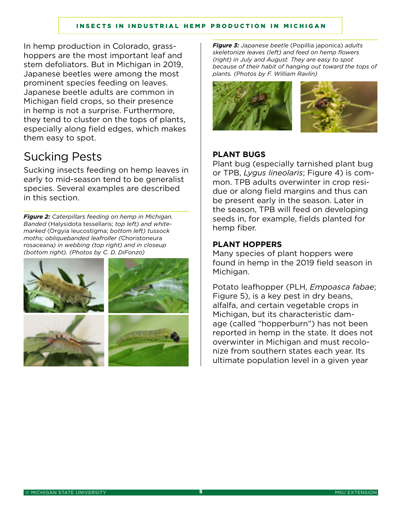In hemp production in Colorado, grasshoppers are the most important leaf and stem defoliators. But in Michigan in 2019, Japanese beetles were among the most prominent species feeding on leaves. Japanese beetle adults are common in Michigan field crops, so their presence in hemp is not a surprise. Furthermore, they tend to cluster on the tops of plants, especially along field edges, which makes them easy to spot.

# Sucking Pests

Sucking insects feeding on hemp leaves in early to mid-season tend to be generalist species. Several examples are described in this section.

*Figure 2: Caterpillars feeding on hemp in Michigan. Banded* (Halysidota tessellaris; *top left) and whitemarked* (Orgyia leucostigma; *bottom left) tussock moths; obliquebanded leafroller (*Choristoneura rosaceana*) in webbing (top right) and in closeup (bottom right). (Photos by C. D. DiFonzo)*



*Figure 3: Japanese beetle* (Popillia japonica) *adults skeletonize leaves (left) and feed on hemp flowers (right) in July and August. They are easy to spot because of their habit of hanging out toward the tops of plants. (Photos by F. William Ravlin)*



### **PLANT BUGS**

Plant bug (especially tarnished plant bug or TPB, *Lygus lineolaris*; Figure 4) is common. TPB adults overwinter in crop residue or along field margins and thus can be present early in the season. Later in the season, TPB will feed on developing seeds in, for example, fields planted for hemp fiber.

### **PLANT HOPPERS**

Many species of plant hoppers were found in hemp in the 2019 field season in Michigan.

Potato leafhopper (PLH, *Empoasca fabae*; Figure 5), is a key pest in dry beans, alfalfa, and certain vegetable crops in Michigan, but its characteristic damage (called "hopperburn") has not been reported in hemp in the state. It does not overwinter in Michigan and must recolonize from southern states each year. Its ultimate population level in a given year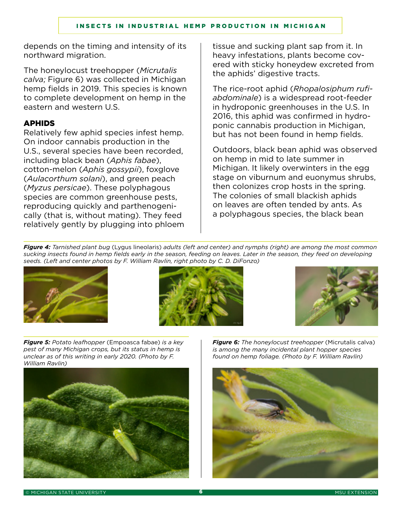depends on the timing and intensity of its northward migration.

The honeylocust treehopper (*Micrutalis calva;* Figure 6) was collected in Michigan hemp fields in 2019. This species is known to complete development on hemp in the eastern and western U.S.

### APHIDS

Relatively few aphid species infest hemp. On indoor cannabis production in the U.S., several species have been recorded, including black bean (*Aphis fabae*), cotton-melon (*Aphis gossypii*), foxglove (*Aulacorthum solani*), and green peach (*Myzus persicae*). These polyphagous species are common greenhouse pests, reproducing quickly and parthenogenically (that is, without mating). They feed relatively gently by plugging into phloem tissue and sucking plant sap from it. In heavy infestations, plants become covered with sticky honeydew excreted from the aphids' digestive tracts.

The rice-root aphid (*Rhopalosiphum rufiabdominale*) is a widespread root-feeder in hydroponic greenhouses in the U.S. In 2016, this aphid was confirmed in hydroponic cannabis production in Michigan, but has not been found in hemp fields.

Outdoors, black bean aphid was observed on hemp in mid to late summer in Michigan. It likely overwinters in the egg stage on viburnum and euonymus shrubs, then colonizes crop hosts in the spring. The colonies of small blackish aphids on leaves are often tended by ants. As a polyphagous species, the black bean

*Figure 4: Tarnished plant bug* (Lygus lineolaris) *adults (left and center) and nymphs (right) are among the most common sucking insects found in hemp fields early in the season, feeding on leaves. Later in the season, they feed on developing seeds. (Left and center photos by F. William Ravlin, right photo by C. D. DiFonzo)*







*Figure 5: Potato leafhopper* (Empoasca fabae) *is a key pest of many Michigan crops, but its status in hemp is unclear as of this writing in early 2020. (Photo by F. William Ravlin)*



*Figure 6: The honeylocust treehopper* (Micrutalis calva) *is among the many incidental plant hopper species found on hemp foliage. (Photo by F. William Ravlin)*

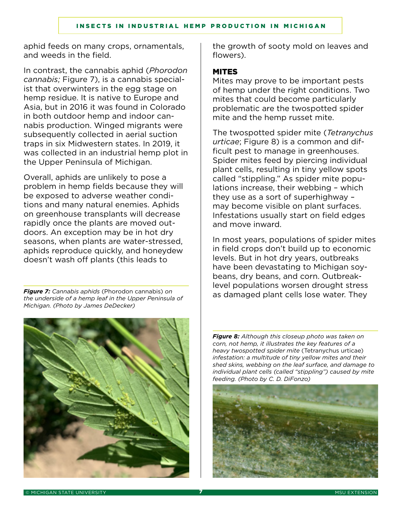aphid feeds on many crops, ornamentals, and weeds in the field.

In contrast, the cannabis aphid (*Phorodon cannabis;* Figure 7), is a cannabis specialist that overwinters in the egg stage on hemp residue. It is native to Europe and Asia, but in 2016 it was found in Colorado in both outdoor hemp and indoor cannabis production. Winged migrants were subsequently collected in aerial suction traps in six Midwestern states. In 2019, it was collected in an industrial hemp plot in the Upper Peninsula of Michigan.

Overall, aphids are unlikely to pose a problem in hemp fields because they will be exposed to adverse weather conditions and many natural enemies. Aphids on greenhouse transplants will decrease rapidly once the plants are moved outdoors. An exception may be in hot dry seasons, when plants are water-stressed, aphids reproduce quickly, and honeydew doesn't wash off plants (this leads to

*the underside of a hemp leaf in the Upper Peninsula of Michigan. (Photo by James DeDecker)*



the growth of sooty mold on leaves and flowers).

#### MITES

Mites may prove to be important pests of hemp under the right conditions. Two mites that could become particularly problematic are the twospotted spider mite and the hemp russet mite.

The twospotted spider mite (*Tetranychus urticae*; Figure 8) is a common and difficult pest to manage in greenhouses. Spider mites feed by piercing individual plant cells, resulting in tiny yellow spots called "stippling." As spider mite populations increase, their webbing – which they use as a sort of superhighway – may become visible on plant surfaces. Infestations usually start on field edges and move inward.

In most years, populations of spider mites in field crops don't build up to economic levels. But in hot dry years, outbreaks have been devastating to Michigan soybeans, dry beans, and corn. Outbreaklevel populations worsen drought stress as damaged plant cells lose water. They *Figure 7: Cannabis aphids* (Phorodon cannabis) *on* 

> *Figure 8: Although this closeup photo was taken on corn, not hemp, it illustrates the key features of a heavy twospotted spider mite* (Tetranychus urticae) *infestation: a multitude of tiny yellow mites and their shed skins, webbing on the leaf surface, and damage to individual plant cells (called "stippling") caused by mite feeding. (Photo by C. D. DiFonzo)*

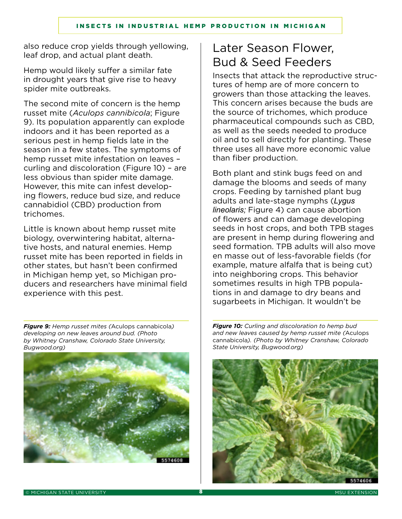also reduce crop yields through yellowing, leaf drop, and actual plant death.

Hemp would likely suffer a similar fate in drought years that give rise to heavy spider mite outbreaks.

The second mite of concern is the hemp russet mite (*Aculops cannibicola*; Figure 9). Its population apparently can explode indoors and it has been reported as a serious pest in hemp fields late in the season in a few states. The symptoms of hemp russet mite infestation on leaves – curling and discoloration (Figure 10) – are less obvious than spider mite damage. However, this mite can infest developing flowers, reduce bud size, and reduce cannabidiol (CBD) production from trichomes.

Little is known about hemp russet mite biology, overwintering habitat, alternative hosts, and natural enemies. Hemp russet mite has been reported in fields in other states, but hasn't been confirmed in Michigan hemp yet, so Michigan producers and researchers have minimal field experience with this pest.

*Figure 9: Hemp russet mites (*Aculops cannabicola*) developing on new leaves around bud. (Photo by Whitney Cranshaw, Colorado State University, Bugwood.org)*



# Later Season Flower, Bud & Seed Feeders

Insects that attack the reproductive structures of hemp are of more concern to growers than those attacking the leaves. This concern arises because the buds are the source of trichomes, which produce pharmaceutical compounds such as CBD, as well as the seeds needed to produce oil and to sell directly for planting. These three uses all have more economic value than fiber production.

Both plant and stink bugs feed on and damage the blooms and seeds of many crops. Feeding by tarnished plant bug adults and late-stage nymphs (*Lygus lineolaris;* Figure 4) can cause abortion of flowers and can damage developing seeds in host crops, and both TPB stages are present in hemp during flowering and seed formation. TPB adults will also move en masse out of less-favorable fields (for example, mature alfalfa that is being cut) into neighboring crops. This behavior sometimes results in high TPB populations in and damage to dry beans and sugarbeets in Michigan. It wouldn't be

*Figure 10: Curling and discoloration to hemp bud and new leaves caused by hemp russet mite (*Aculops cannabicola*). (Photo by Whitney Cranshaw, Colorado State University, Bugwood.org)*

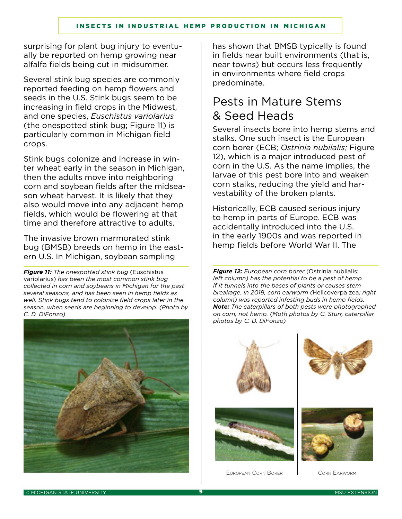surprising for plant bug injury to eventually be reported on hemp growing near alfalfa fields being cut in midsummer.

Several stink bug species are commonly reported feeding on hemp flowers and seeds in the U.S. Stink bugs seem to be increasing in field crops in the Midwest, and one species, *Euschistus variolarius* (the onespotted stink bug; Figure 11) is particularly common in Michigan field crops.

Stink bugs colonize and increase in winter wheat early in the season in Michigan, then the adults move into neighboring corn and soybean fields after the midseason wheat harvest. It is likely that they also would move into any adjacent hemp fields, which would be flowering at that time and therefore attractive to adults.

The invasive brown marmorated stink bug (BMSB) breeds on hemp in the eastern U.S. In Michigan, soybean sampling

*Figure 11: The onespotted stink bug* (Euschistus variolarius) *has been the most common stink bug collected in corn and soybeans in Michigan for the past several seasons, and has been seen in hemp fields as well. Stink bugs tend to colonize field crops later in the season, when seeds are beginning to develop. (Photo by C. D. DiFonzo)*



has shown that BMSB typically is found in fields near built environments (that is, near towns) but occurs less frequently in environments where field crops predominate.

# Pests in Mature Stems & Seed Heads

Several insects bore into hemp stems and stalks. One such insect is the European corn borer (ECB; *Ostrinia nubilalis;* Figure 12), which is a major introduced pest of corn in the U.S. As the name implies, the larvae of this pest bore into and weaken corn stalks, reducing the yield and harvestability of the broken plants.

Historically, ECB caused serious injury to hemp in parts of Europe. ECB was accidentally introduced into the U.S. in the early 1900s and was reported in hemp fields before World War II. The

*Figure 12: European corn borer* (Ostrinia nubilalis; *left column) has the potential to be a pest of hemp if it tunnels into the bases of plants or causes stem breakage. In 2019, corn earworm (*Helicoverpa zea*; right column) was reported infesting buds in hemp fields. Note: The caterpillars of both pests were photographed on corn, not hemp. (Moth photos by C. Sturr, caterpillar photos by C. D. DiFonzo)*







European Corn Borer | Corn Earworm

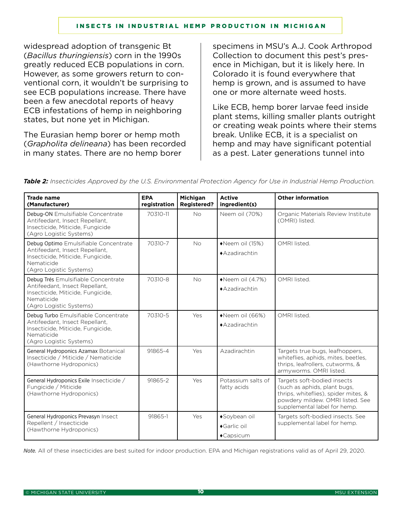widespread adoption of transgenic Bt (*Bacillus thuringiensis*) corn in the 1990s greatly reduced ECB populations in corn. However, as some growers return to conventional corn, it wouldn't be surprising to see ECB populations increase. There have been a few anecdotal reports of heavy ECB infestations of hemp in neighboring states, but none yet in Michigan.

The Eurasian hemp borer or hemp moth (*Grapholita delineana*) has been recorded in many states. There are no hemp borer

specimens in MSU's A.J. Cook Arthropod Collection to document this pest's presence in Michigan, but it is likely here. In Colorado it is found everywhere that hemp is grown, and is assumed to have one or more alternate weed hosts.

Like ECB, hemp borer larvae feed inside plant stems, killing smaller plants outright or creating weak points where their stems break. Unlike ECB, it is a specialist on hemp and may have significant potential as a pest. Later generations tunnel into

| <b>Trade name</b><br>(Manufacturer)                                                                                                                   | <b>EPA</b><br>registration | Michigan<br><b>Registered?</b> | <b>Active</b><br>ingredient(s)                    | <b>Other information</b>                                                                                                                                                |
|-------------------------------------------------------------------------------------------------------------------------------------------------------|----------------------------|--------------------------------|---------------------------------------------------|-------------------------------------------------------------------------------------------------------------------------------------------------------------------------|
| Debug-ON Emulsifiable Concentrate<br>Antifeedant, Insect Repellant,<br>Insecticide, Miticide, Fungicide<br>(Agro Logistic Systems)                    | 70310-11                   | <b>No</b>                      | Neem oil (70%)                                    | Organic Materials Review Institute<br>(OMRI) listed.                                                                                                                    |
| Debug Optimo Emulsifiable Concentrate<br>Antifeedant, Insect Repellant,<br>Insecticide, Miticide, Fungicide,<br>Nematicide<br>(Agro Logistic Systems) | 70310-7                    | <b>No</b>                      | Weem oil (15%)<br>◆ Azadirachtin                  | OMRI listed.                                                                                                                                                            |
| Debug Trés Emulsifiable Concentrate<br>Antifeedant, Insect Repellant,<br>Insecticide, Miticide, Fungicide,<br>Nematicide<br>(Agro Logistic Systems)   | 70310-8                    | <b>No</b>                      | $\blacklozenge$ Neem oil (4.7%)<br>◆ Azadirachtin | OMRI listed.                                                                                                                                                            |
| Debug Turbo Emulsifiable Concentrate<br>Antifeedant, Insect Repellant,<br>Insecticide, Miticide, Fungicide,<br>Nematicide<br>(Agro Logistic Systems)  | 70310-5                    | Yes                            | Weem oil (66%)<br>◆ Azadirachtin                  | OMRI listed.                                                                                                                                                            |
| General Hydroponics Azamax Botanical<br>Insecticide / Miticide / Nematicide<br>(Hawthorne Hydroponics)                                                | 91865-4                    | Yes                            | Azadirachtin                                      | Targets true bugs, leafhoppers,<br>whiteflies, aphids, mites, beetles,<br>thrips, leafrollers, cutworms, &<br>armyworms. OMRI listed.                                   |
| General Hydroponics Exile Insecticide /<br>Fungicide / Miticide<br>(Hawthorne Hydroponics)                                                            | 91865-2                    | Yes                            | Potassium salts of<br>fatty acids                 | Targets soft-bodied insects<br>(such as aphids, plant bugs,<br>thrips, whiteflies), spider mites, &<br>powdery mildew. OMRI listed. See<br>supplemental label for hemp. |
| General Hydroponics Prevasyn Insect<br>Repellent / Insecticide<br>(Hawthorne Hydroponics)                                                             | 91865-1                    | Yes                            | ◆Soybean oil<br>◆Garlic oil                       | Targets soft-bodied insects. See<br>supplemental label for hemp.                                                                                                        |
|                                                                                                                                                       |                            |                                | $\triangle$ Capsicum                              |                                                                                                                                                                         |

*Table 2: Insecticides Approved by the U.S. Environmental Protection Agency for Use in Industrial Hemp Production.*

*Note.* All of these insecticides are best suited for indoor production. EPA and Michigan registrations valid as of April 29, 2020.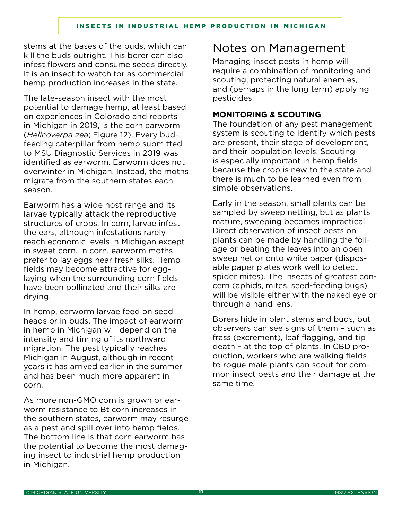stems at the bases of the buds, which can kill the buds outright. This borer can also infest flowers and consume seeds directly. It is an insect to watch for as commercial hemp production increases in the state.

The late-season insect with the most potential to damage hemp, at least based on experiences in Colorado and reports in Michigan in 2019, is the corn earworm (*Helicoverpa zea*; Figure 12). Every budfeeding caterpillar from hemp submitted to MSU Diagnostic Services in 2019 was identified as earworm. Earworm does not overwinter in Michigan. Instead, the moths migrate from the southern states each season.

Earworm has a wide host range and its larvae typically attack the reproductive structures of crops. In corn, larvae infest the ears, although infestations rarely reach economic levels in Michigan except in sweet corn. In corn, earworm moths prefer to lay eggs near fresh silks. Hemp fields may become attractive for egglaying when the surrounding corn fields have been pollinated and their silks are drying.

In hemp, earworm larvae feed on seed heads or in buds. The impact of earworm in hemp in Michigan will depend on the intensity and timing of its northward migration. The pest typically reaches Michigan in August, although in recent years it has arrived earlier in the summer and has been much more apparent in corn.

As more non-GMO corn is grown or earworm resistance to Bt corn increases in the southern states, earworm may resurge as a pest and spill over into hemp fields. The bottom line is that corn earworm has the potential to become the most damaging insect to industrial hemp production in Michigan.

# Notes on Management

Managing insect pests in hemp will require a combination of monitoring and scouting, protecting natural enemies, and (perhaps in the long term) applying pesticides.

### **MONITORING & SCOUTING**

The foundation of any pest management system is scouting to identify which pests are present, their stage of development, and their population levels. Scouting is especially important in hemp fields because the crop is new to the state and there is much to be learned even from simple observations.

Early in the season, small plants can be sampled by sweep netting, but as plants mature, sweeping becomes impractical. Direct observation of insect pests on plants can be made by handling the foliage or beating the leaves into an open sweep net or onto white paper (disposable paper plates work well to detect spider mites). The insects of greatest concern (aphids, mites, seed-feeding bugs) will be visible either with the naked eye or through a hand lens.

Borers hide in plant stems and buds, but observers can see signs of them – such as frass (excrement), leaf flagging, and tip death – at the top of plants. In CBD production, workers who are walking fields to rogue male plants can scout for common insect pests and their damage at the same time.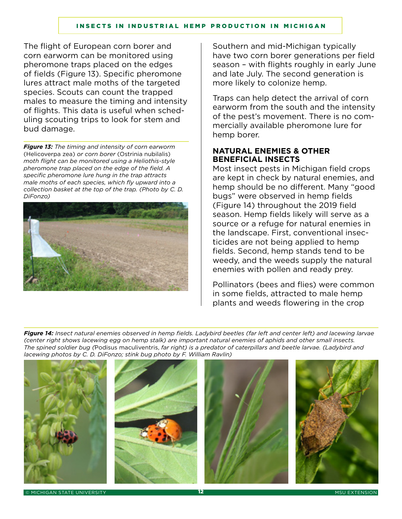The flight of European corn borer and corn earworm can be monitored using pheromone traps placed on the edges of fields (Figure 13). Specific pheromone lures attract male moths of the targeted species. Scouts can count the trapped males to measure the timing and intensity of flights. This data is useful when scheduling scouting trips to look for stem and bud damage.

*Figure 13: The timing and intensity of corn earworm*  (Helicoverpa zea) *or corn borer* (Ostrinia nubilalis) *moth flight can be monitored using a Heliothis-style pheromone trap placed on the edge of the field. A specific pheromone lure hung in the trap attracts male moths of each species, which fly upward into a collection basket at the top of the trap. (Photo by C. D. DiFonzo)*



Southern and mid-Michigan typically have two corn borer generations per field season – with flights roughly in early June and late July. The second generation is more likely to colonize hemp.

Traps can help detect the arrival of corn earworm from the south and the intensity of the pest's movement. There is no commercially available pheromone lure for hemp borer.

### **NATURAL ENEMIES & OTHER BENEFICIAL INSECTS**

Most insect pests in Michigan field crops are kept in check by natural enemies, and hemp should be no different. Many "good bugs" were observed in hemp fields (Figure 14) throughout the 2019 field season. Hemp fields likely will serve as a source or a refuge for natural enemies in the landscape. First, conventional insecticides are not being applied to hemp fields. Second, hemp stands tend to be weedy, and the weeds supply the natural enemies with pollen and ready prey.

Pollinators (bees and flies) were common in some fields, attracted to male hemp plants and weeds flowering in the crop

*Figure 14: Insect natural enemies observed in hemp fields. Ladybird beetles (far left and center left) and lacewing larvae (center right shows lacewing egg on hemp stalk) are important natural enemies of aphids and other small insects. The spined soldier bug (*Podisus maculiventris, *far right) is a predator of caterpillars and beetle larvae. (Ladybird and lacewing photos by C. D. DiFonzo; stink bug photo by F. William Ravlin)*



MICHIGAN STATE UNIVERSITY **12** MSU EXTENSION **12** MSU EXTENSION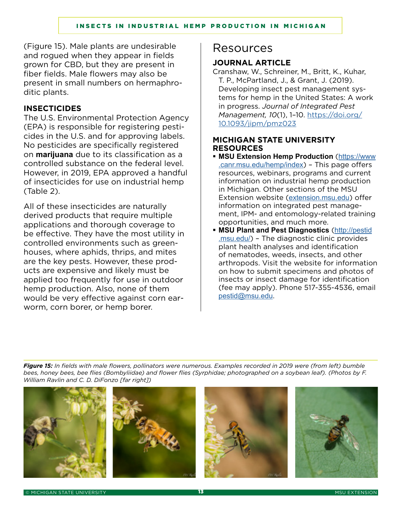(Figure 15). Male plants are undesirable and rogued when they appear in fields grown for CBD, but they are present in fiber fields. Male flowers may also be present in small numbers on hermaphroditic plants.

#### **INSECTICIDES**

The U.S. Environmental Protection Agency (EPA) is responsible for registering pesticides in the U.S. and for approving labels. No pesticides are specifically registered on **marijuana** due to its classification as a controlled substance on the federal level. However, in 2019, EPA approved a handful of insecticides for use on industrial hemp (Table 2).

All of these insecticides are naturally derived products that require multiple applications and thorough coverage to be effective. They have the most utility in controlled environments such as greenhouses, where aphids, thrips, and mites are the key pests. However, these products are expensive and likely must be applied too frequently for use in outdoor hemp production. Also, none of them would be very effective against corn earworm, corn borer, or hemp borer.

# Resources

### **JOURNAL ARTICLE**

Cranshaw, W., Schreiner, M., Britt, K., Kuhar, T. P., McPartland, J., & Grant, J. (2019). Developing insect pest management systems for hemp in the United States: A work in progress. *Journal of Integrated Pest Management, 10*(1), 1–10. [https://doi.org/](https://doi.org/10.1093/jipm/pmz023) [10.1093/jipm/pmz023](https://doi.org/10.1093/jipm/pmz023)

#### **MICHIGAN STATE UNIVERSITY RESOURCES**

- **MSU Extension Hemp Production** ([https://www](https://www.canr.msu.edu/hemp/index) [.canr.msu.edu/hemp/index](https://www.canr.msu.edu/hemp/index)) – This page offers resources, webinars, programs and current information on industrial hemp production in Michigan. Other sections of the MSU Extension website ([extension.msu.edu](https://michiganstate-my.sharepoint.com/personal/mckeer_msu_edu/Documents/McKeeDocs/2020%20Hemp%20Bugs%20E3436/For%20editing/canr.msu.edu/outreach/)) offer information on integrated pest management, IPM- and entomology-related training opportunities, and much more.
- **MSU Plant and Pest Diagnostics** ([http://pestid](http://pestid.msu.edu/) [.msu.edu/](http://pestid.msu.edu/)) – The diagnostic clinic provides plant health analyses and identification of nematodes, weeds, insects, and other arthropods. Visit the website for information on how to submit specimens and photos of insects or insect damage for identification (fee may apply). Phone 517-355-4536, email [pestid@msu.edu](mailto:pestid@msu.edu).

*Figure 15: In fields with male flowers, pollinators were numerous. Examples recorded in 2019 were (from left) bumble bees, honey bees, bee flies (Bombyliidae) and flower flies (Syrphidae; photographed on a soybean leaf). (Photos by F. William Ravlin and C. D. DiFonzo [far right])*